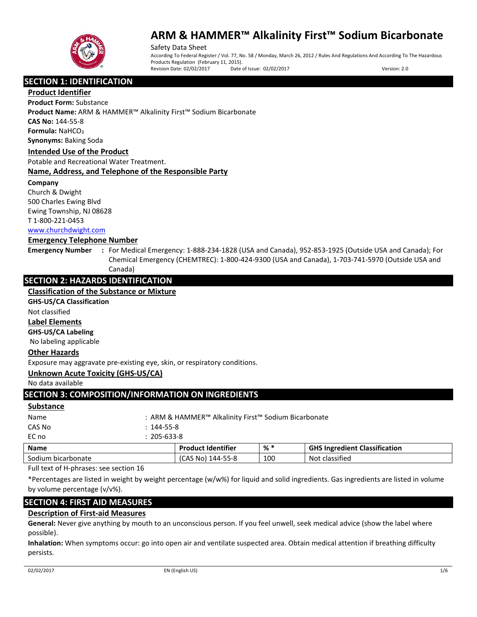

Safety Data Sheet According To Federal Register / Vol. 77, No. 58 / Monday, March 26, 2012 / Rules And Regulations And According To The Hazardous Products Regulation (February 11, 2015). Revision Date: 02/02/2017 Date of Issue: 02/02/2017 Version: 2.0

**SECTION 1: IDENTIFICATION** 

**Product Identifier**

**Product Form:** Substance

**Product Name:** ARM & HAMMER™ Alkalinity First™ Sodium Bicarbonate **CAS No:** 144-55-8

**Formula: NaHCO<sub>3</sub>** 

**Synonyms:** Baking Soda

### **Intended Use of the Product**

Potable and Recreational Water Treatment.

### **Name, Address, and Telephone of the Responsible Party**

### **Company**

Church & Dwight 500 Charles Ewing Blvd Ewing Township, NJ 08628 T 1-800-221-0453 [www.churchdwight.com](http://www.churchdwight.com/)

### **Emergency Telephone Number**

**Emergency Number :** For Medical Emergency: 1-888-234-1828 (USA and Canada), 952-853-1925 (Outside USA and Canada); For Chemical Emergency (CHEMTREC): 1-800-424-9300 (USA and Canada), 1-703-741-5970 (Outside USA and Canada)

# **SECTION 2: HAZARDS IDENTIFICATION**

## **Classification of the Substance or Mixture**

**GHS-US/CA Classification**

Not classified

### **Label Elements**

**GHS-US/CA Labeling**

No labeling applicable

### **Other Hazards**

Exposure may aggravate pre-existing eye, skin, or respiratory conditions.

### **Unknown Acute Toxicity (GHS-US/CA)**

No data available

# **SECTION 3: COMPOSITION/INFORMATION ON INGREDIENTS**

### **Substance**

| <b>Name</b> |                  | <b>Product Identifier</b>                            | % * | <b>GHS Ingredient Classification</b> |  |
|-------------|------------------|------------------------------------------------------|-----|--------------------------------------|--|
| EC no       | 205-633-8        |                                                      |     |                                      |  |
| CAS No      | $: 144 - 55 - 8$ |                                                      |     |                                      |  |
| Name        |                  | : ARM & HAMMER™ Alkalinity First™ Sodium Bicarbonate |     |                                      |  |
| ----------- |                  |                                                      |     |                                      |  |

Sodium bicarbonate (CAS No) 144-55-8 100 Not classified Full text of H-phrases: see section 16

\*Percentages are listed in weight by weight percentage (w/w%) for liquid and solid ingredients. Gas ingredients are listed in volume by volume percentage (v/v%).

# **SECTION 4: FIRST AID MEASURES**

# **Description of First-aid Measures**

**General:** Never give anything by mouth to an unconscious person. If you feel unwell, seek medical advice (show the label where possible).

**Inhalation:** When symptoms occur: go into open air and ventilate suspected area. Obtain medical attention if breathing difficulty persists.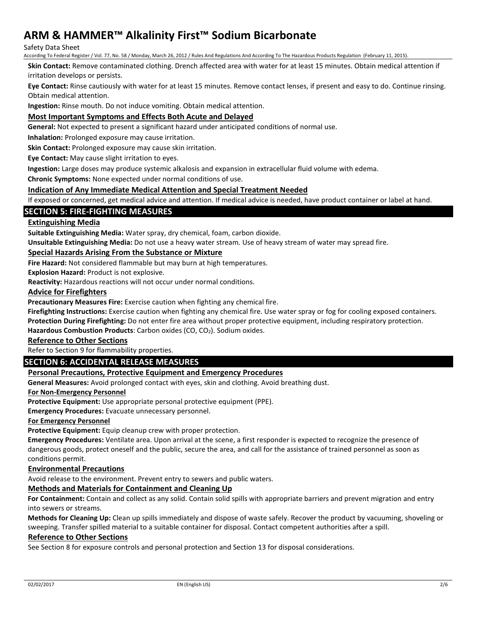### Safety Data Sheet

According To Federal Register / Vol. 77, No. 58 / Monday, March 26, 2012 / Rules And Regulations And According To The Hazardous Products Regulation (February 11, 2015).

**Skin Contact:** Remove contaminated clothing. Drench affected area with water for at least 15 minutes. Obtain medical attention if irritation develops or persists.

**Eye Contact:** Rinse cautiously with water for at least 15 minutes. Remove contact lenses, if present and easy to do. Continue rinsing. Obtain medical attention.

**Ingestion:** Rinse mouth. Do not induce vomiting. Obtain medical attention.

## **Most Important Symptoms and Effects Both Acute and Delayed**

**General:** Not expected to present a significant hazard under anticipated conditions of normal use.

**Inhalation:** Prolonged exposure may cause irritation.

**Skin Contact:** Prolonged exposure may cause skin irritation.

**Eye Contact:** May cause slight irritation to eyes.

**Ingestion:** Large doses may produce systemic alkalosis and expansion in extracellular fluid volume with edema.

**Chronic Symptoms:** None expected under normal conditions of use.

### **Indication of Any Immediate Medical Attention and Special Treatment Needed**

If exposed or concerned, get medical advice and attention. If medical advice is needed, have product container or label at hand.

## **SECTION 5: FIRE-FIGHTING MEASURES**

### **Extinguishing Media**

**Suitable Extinguishing Media:** Water spray, dry chemical, foam, carbon dioxide.

**Unsuitable Extinguishing Media:** Do not use a heavy water stream. Use of heavy stream of water may spread fire.

## **Special Hazards Arising From the Substance or Mixture**

**Fire Hazard:** Not considered flammable but may burn at high temperatures.

**Explosion Hazard:** Product is not explosive.

**Reactivity:** Hazardous reactions will not occur under normal conditions.

### **Advice for Firefighters**

**Precautionary Measures Fire:** Exercise caution when fighting any chemical fire.

**Firefighting Instructions:** Exercise caution when fighting any chemical fire. Use water spray or fog for cooling exposed containers.

**Protection During Firefighting:** Do not enter fire area without proper protective equipment, including respiratory protection.

Hazardous Combustion Products: Carbon oxides (CO, CO<sub>2</sub>). Sodium oxides.

# **Reference to Other Sections**

Refer to Section 9 for flammability properties.

# **SECTION 6: ACCIDENTAL RELEASE MEASURES**

### **Personal Precautions, Protective Equipment and Emergency Procedures**

**General Measures:** Avoid prolonged contact with eyes, skin and clothing. Avoid breathing dust.

### **For Non-Emergency Personnel**

**Protective Equipment:** Use appropriate personal protective equipment (PPE).

**Emergency Procedures:** Evacuate unnecessary personnel.

### **For Emergency Personnel**

**Protective Equipment:** Equip cleanup crew with proper protection.

**Emergency Procedures:** Ventilate area. Upon arrival at the scene, a first responder is expected to recognize the presence of dangerous goods, protect oneself and the public, secure the area, and call for the assistance of trained personnel as soon as conditions permit.

### **Environmental Precautions**

Avoid release to the environment. Prevent entry to sewers and public waters.

## **Methods and Materials for Containment and Cleaning Up**

**For Containment:** Contain and collect as any solid. Contain solid spills with appropriate barriers and prevent migration and entry into sewers or streams.

**Methods for Cleaning Up:** Clean up spills immediately and dispose of waste safely. Recover the product by vacuuming, shoveling or sweeping. Transfer spilled material to a suitable container for disposal. Contact competent authorities after a spill.

### **Reference to Other Sections**

See Section 8 for exposure controls and personal protection and Section 13 for disposal considerations.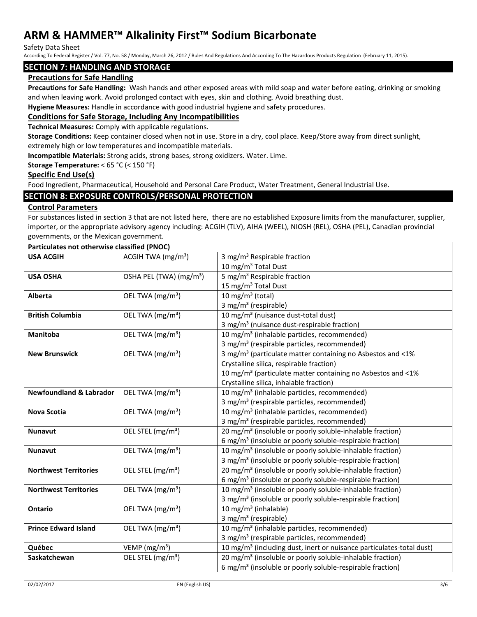Safety Data Sheet

According To Federal Register / Vol. 77, No. 58 / Monday, March 26, 2012 / Rules And Regulations And According To The Hazardous Products Regulation (February 11, 2015).

## **SECTION 7: HANDLING AND STORAGE**

## **Precautions for Safe Handling**

**Precautions for Safe Handling:** Wash hands and other exposed areas with mild soap and water before eating, drinking or smoking and when leaving work. Avoid prolonged contact with eyes, skin and clothing. Avoid breathing dust.

**Hygiene Measures:** Handle in accordance with good industrial hygiene and safety procedures.

## **Conditions for Safe Storage, Including Any Incompatibilities**

**Technical Measures:** Comply with applicable regulations.

**Storage Conditions:** Keep container closed when not in use. Store in a dry, cool place. Keep/Store away from direct sunlight, extremely high or low temperatures and incompatible materials.

**Incompatible Materials:** Strong acids, strong bases, strong oxidizers. Water. Lime.

### **Storage Temperature:** < 65 °C (< 150 °F)

### **Specific End Use(s)**

Food Ingredient, Pharmaceutical, Household and Personal Care Product, Water Treatment, General Industrial Use.

## **SECTION 8: EXPOSURE CONTROLS/PERSONAL PROTECTION**

### **Control Parameters**

For substances listed in section 3 that are not listed here, there are no established Exposure limits from the manufacturer, supplier, importer, or the appropriate advisory agency including: ACGIH (TLV), AIHA (WEEL), NIOSH (REL), OSHA (PEL), Canadian provincial governments, or the Mexican government.

| Particulates not otherwise classified (PNOC) |                                     |                                                                                  |  |
|----------------------------------------------|-------------------------------------|----------------------------------------------------------------------------------|--|
| <b>USA ACGIH</b>                             | ACGIH TWA $(mg/m3)$                 | 3 mg/m <sup>3</sup> Respirable fraction                                          |  |
|                                              |                                     | 10 mg/m <sup>3</sup> Total Dust                                                  |  |
| <b>USA OSHA</b>                              | OSHA PEL (TWA) (mg/m <sup>3</sup> ) | $\overline{5}$ mg/m <sup>3</sup> Respirable fraction                             |  |
|                                              |                                     | 15 mg/m <sup>3</sup> Total Dust                                                  |  |
| Alberta                                      | OEL TWA (mg/m <sup>3</sup> )        | 10 mg/m $3$ (total)                                                              |  |
|                                              |                                     | 3 mg/m <sup>3</sup> (respirable)                                                 |  |
| <b>British Columbia</b>                      | OEL TWA (mg/m <sup>3</sup> )        | 10 mg/m <sup>3</sup> (nuisance dust-total dust)                                  |  |
|                                              |                                     | 3 mg/m <sup>3</sup> (nuisance dust-respirable fraction)                          |  |
| Manitoba                                     | OEL TWA (mg/m <sup>3</sup> )        | 10 mg/m <sup>3</sup> (inhalable particles, recommended)                          |  |
|                                              |                                     | 3 mg/m <sup>3</sup> (respirable particles, recommended)                          |  |
| <b>New Brunswick</b>                         | OEL TWA (mg/m <sup>3</sup> )        | 3 mg/m <sup>3</sup> (particulate matter containing no Asbestos and <1%           |  |
|                                              |                                     | Crystalline silica, respirable fraction)                                         |  |
|                                              |                                     | 10 mg/m <sup>3</sup> (particulate matter containing no Asbestos and <1%          |  |
|                                              |                                     | Crystalline silica, inhalable fraction)                                          |  |
| <b>Newfoundland &amp; Labrador</b>           | OEL TWA (mg/m <sup>3</sup> )        | 10 mg/m <sup>3</sup> (inhalable particles, recommended)                          |  |
|                                              |                                     | 3 mg/m <sup>3</sup> (respirable particles, recommended)                          |  |
| <b>Nova Scotia</b>                           | OEL TWA (mg/m <sup>3</sup> )        | 10 mg/m <sup>3</sup> (inhalable particles, recommended)                          |  |
|                                              |                                     | 3 mg/m <sup>3</sup> (respirable particles, recommended)                          |  |
| <b>Nunavut</b>                               | OEL STEL (mg/m <sup>3</sup> )       | 20 mg/m <sup>3</sup> (insoluble or poorly soluble-inhalable fraction)            |  |
|                                              |                                     | 6 mg/m <sup>3</sup> (insoluble or poorly soluble-respirable fraction)            |  |
| <b>Nunavut</b>                               | OEL TWA (mg/m <sup>3</sup> )        | 10 mg/m <sup>3</sup> (insoluble or poorly soluble-inhalable fraction)            |  |
|                                              |                                     | 3 mg/m <sup>3</sup> (insoluble or poorly soluble-respirable fraction)            |  |
| <b>Northwest Territories</b>                 | OEL STEL (mg/m <sup>3</sup> )       | 20 mg/m <sup>3</sup> (insoluble or poorly soluble-inhalable fraction)            |  |
|                                              |                                     | 6 mg/m <sup>3</sup> (insoluble or poorly soluble-respirable fraction)            |  |
| <b>Northwest Territories</b>                 | OEL TWA (mg/m <sup>3</sup> )        | 10 mg/m <sup>3</sup> (insoluble or poorly soluble-inhalable fraction)            |  |
|                                              |                                     | 3 mg/m <sup>3</sup> (insoluble or poorly soluble-respirable fraction)            |  |
| <b>Ontario</b>                               | OEL TWA (mg/m <sup>3</sup> )        | 10 mg/m <sup>3</sup> (inhalable)                                                 |  |
|                                              |                                     | 3 mg/m <sup>3</sup> (respirable)                                                 |  |
| <b>Prince Edward Island</b>                  | OEL TWA (mg/m <sup>3</sup> )        | 10 mg/m <sup>3</sup> (inhalable particles, recommended)                          |  |
|                                              |                                     | 3 mg/m <sup>3</sup> (respirable particles, recommended)                          |  |
| Québec                                       | VEMP ( $mg/m3$ )                    | 10 mg/m <sup>3</sup> (including dust, inert or nuisance particulates-total dust) |  |
| Saskatchewan                                 | OEL STEL (mg/m <sup>3</sup> )       | 20 mg/m <sup>3</sup> (insoluble or poorly soluble-inhalable fraction)            |  |
|                                              |                                     | 6 mg/m <sup>3</sup> (insoluble or poorly soluble-respirable fraction)            |  |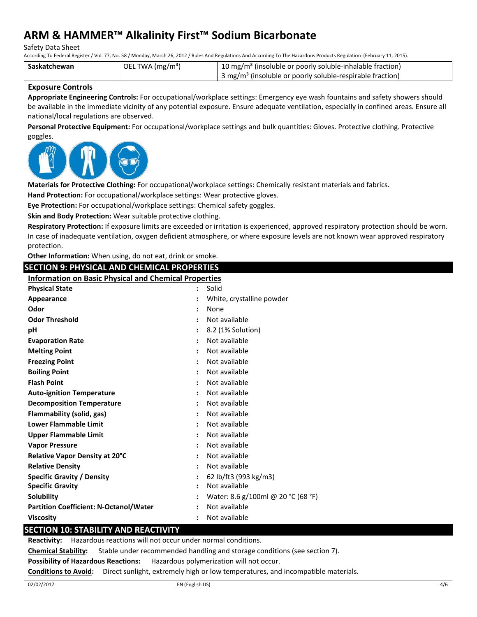Safety Data Sheet

According To Federal Register / Vol. 77, No. 58 / Monday, March 26, 2012 / Rules And Regulations And According To The Hazardous Products Regulation (February 11, 2015).

| Saskatchewan | OEL TWA (mg/m <sup>3</sup> ) | 10 mg/m <sup>3</sup> (insoluble or poorly soluble-inhalable fraction)               |  |  |  |
|--------------|------------------------------|-------------------------------------------------------------------------------------|--|--|--|
|              |                              | $\frac{1}{2}$ 3 mg/m <sup>3</sup> (insoluble or poorly soluble-respirable fraction) |  |  |  |

## **Exposure Controls**

**Appropriate Engineering Controls:** For occupational/workplace settings: Emergency eye wash fountains and safety showers should be available in the immediate vicinity of any potential exposure. Ensure adequate ventilation, especially in confined areas. Ensure all national/local regulations are observed.

**Personal Protective Equipment:** For occupational/workplace settings and bulk quantities: Gloves. Protective clothing. Protective goggles.



**Materials for Protective Clothing:** For occupational/workplace settings: Chemically resistant materials and fabrics.

**Hand Protection:** For occupational/workplace settings: Wear protective gloves.

**Eye Protection:** For occupational/workplace settings: Chemical safety goggles.

**Skin and Body Protection:** Wear suitable protective clothing.

**Respiratory Protection:** If exposure limits are exceeded or irritation is experienced, approved respiratory protection should be worn. In case of inadequate ventilation, oxygen deficient atmosphere, or where exposure levels are not known wear approved respiratory protection.

**Other Information:** When using, do not eat, drink or smoke.

**SECTION 9: PHYSICAL AND CHEMICAL PROPERTIES Information on Basic Physical and Chemical Properties**

| <b>Physical State</b>                         | $\ddot{\phantom{a}}$ | Solid                              |
|-----------------------------------------------|----------------------|------------------------------------|
| Appearance                                    |                      | White, crystalline powder          |
| Odor                                          |                      | None                               |
| <b>Odor Threshold</b>                         |                      | Not available                      |
| рH                                            |                      | 8.2 (1% Solution)                  |
| <b>Evaporation Rate</b>                       |                      | Not available                      |
| <b>Melting Point</b>                          |                      | Not available                      |
| <b>Freezing Point</b>                         |                      | Not available                      |
| <b>Boiling Point</b>                          |                      | Not available                      |
| <b>Flash Point</b>                            |                      | Not available                      |
| <b>Auto-ignition Temperature</b>              |                      | Not available                      |
| <b>Decomposition Temperature</b>              |                      | Not available                      |
| Flammability (solid, gas)                     |                      | Not available                      |
| <b>Lower Flammable Limit</b>                  |                      | Not available                      |
| <b>Upper Flammable Limit</b>                  |                      | Not available                      |
| <b>Vapor Pressure</b>                         |                      | Not available                      |
| <b>Relative Vapor Density at 20°C</b>         |                      | Not available                      |
| <b>Relative Density</b>                       |                      | Not available                      |
| <b>Specific Gravity / Density</b>             |                      | 62 lb/ft3 (993 kg/m3)              |
| <b>Specific Gravity</b>                       |                      | Not available                      |
| <b>Solubility</b>                             |                      | Water: 8.6 g/100ml @ 20 °C (68 °F) |
| <b>Partition Coefficient: N-Octanol/Water</b> |                      | Not available                      |
| <b>Viscosity</b>                              |                      | Not available                      |
|                                               |                      |                                    |

# **SECTION 10: STABILITY AND REACTIVITY**

**Reactivity:** Hazardous reactions will not occur under normal conditions.

**Chemical Stability:** Stable under recommended handling and storage conditions (see section 7).

**Possibility of Hazardous Reactions:** Hazardous polymerization will not occur.

**Conditions to Avoid:** Direct sunlight, extremely high or low temperatures, and incompatible materials.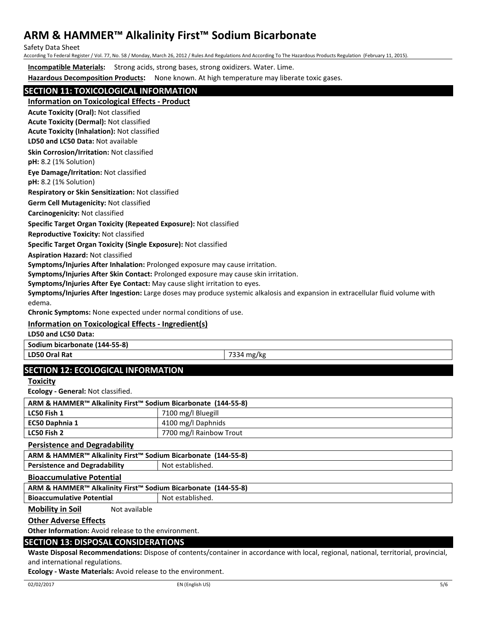Safety Data Sheet

According To Federal Register / Vol. 77, No. 58 / Monday, March 26, 2012 / Rules And Regulations And According To The Hazardous Products Regulation (February 11, 2015).

**Incompatible Materials:** Strong acids, strong bases, strong oxidizers. Water. Lime.

**Hazardous Decomposition Products:** None known. At high temperature may liberate toxic gases.

# **SECTION 11: TOXICOLOGICAL INFORMATION**

**Information on Toxicological Effects - Product**

**Acute Toxicity (Oral):** Not classified

**Acute Toxicity (Dermal):** Not classified

**LD50 and LC50 Data:** Not available **Acute Toxicity (Inhalation):** Not classified

**Skin Corrosion/Irritation:** Not classified

**pH:** 8.2 (1% Solution)

**Eye Damage/Irritation:** Not classified

**pH:** 8.2 (1% Solution)

**Respiratory or Skin Sensitization:** Not classified

**Germ Cell Mutagenicity:** Not classified

**Carcinogenicity:** Not classified

### **Specific Target Organ Toxicity (Repeated Exposure):** Not classified

**Reproductive Toxicity:** Not classified

**Specific Target Organ Toxicity (Single Exposure):** Not classified

**Aspiration Hazard:** Not classified

**Symptoms/Injuries After Inhalation:** Prolonged exposure may cause irritation.

**Symptoms/Injuries After Skin Contact:** Prolonged exposure may cause skin irritation.

**Symptoms/Injuries After Eye Contact:** May cause slight irritation to eyes.

**Symptoms/Injuries After Ingestion:** Large doses may produce systemic alkalosis and expansion in extracellular fluid volume with edema.

**Chronic Symptoms:** None expected under normal conditions of use.

# **Information on Toxicological Effects - Ingredient(s)**

**LD50 and LC50 Data:**

**Sodium bicarbonate (144-55-8)**

**LD50 Oral Rat** 7334 mg/kg

# **SECTION 12: ECOLOGICAL INFORMATION**

**Toxicity**

**Ecology - General:** Not classified.

| ARM & HAMMER™ Alkalinity First™ Sodium Bicarbonate (144-55-8) |                         |  |
|---------------------------------------------------------------|-------------------------|--|
| LC50 Fish 1                                                   | 7100 mg/l Bluegill      |  |
| EC50 Daphnia 1                                                | 4100 mg/l Daphnids      |  |
| LC50 Fish 2                                                   | 7700 mg/l Rainbow Trout |  |

**Persistence and Degradability**

|  | ARM & HAMMER <sup>™</sup> Alkalinity First <sup>™</sup> Sodium Bicarbonate (144-55-8) |  |  |
|--|---------------------------------------------------------------------------------------|--|--|
|  |                                                                                       |  |  |

**Persistence and Degradability | Not established.** 

**Bioaccumulative Potential**

**ARM & HAMMER™ Alkalinity First™ Sodium Bicarbonate (144-55-8)**

**Bioaccumulative Potential Fig. 3.1 | Not established.** 

**Mobility in Soil** Not available

### **Other Adverse Effects**

**Other Information:** Avoid release to the environment.

# **SECTION 13: DISPOSAL CONSIDERATIONS**

**Waste Disposal Recommendations:** Dispose of contents/container in accordance with local, regional, national, territorial, provincial, and international regulations.

**Ecology - Waste Materials:** Avoid release to the environment.